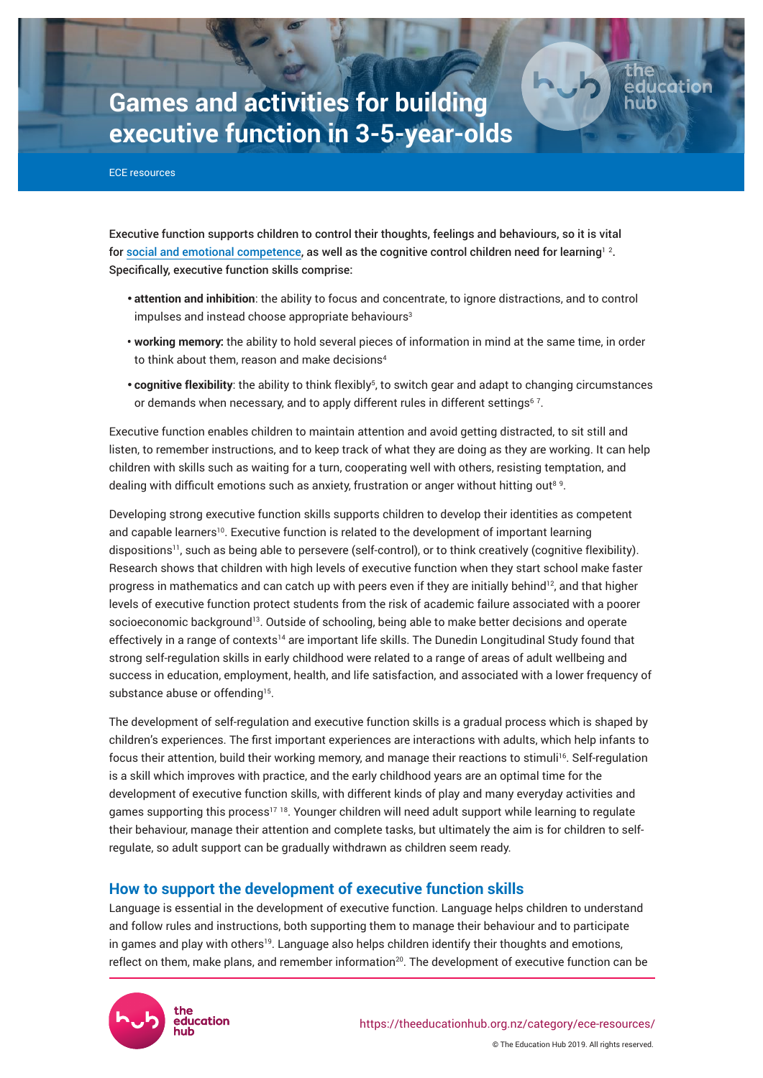# **Games and activities for building executive function in 3-5-year-olds**

ECE resources

Executive function supports children to control their thoughts, feelings and behaviours, so it is vital for [social and emotional competence](https://theeducationhub.org.nz/category/ece-resources/social-and-emotional-competence-in-ece/), as well as the cognitive control children need for learning $^{\text{1 2}}$ . Specifically, executive function skills comprise:

- **attention and inhibition**: the ability to focus and concentrate, to ignore distractions, and to control impulses and instead choose appropriate behaviours<sup>3</sup>
- **working memory:** the ability to hold several pieces of information in mind at the same time, in order to think about them, reason and make decisions<sup>4</sup>
- cognitive flexibility: the ability to think flexibly<sup>5</sup>, to switch gear and adapt to changing circumstances or demands when necessary, and to apply different rules in different settings $67$ .

Executive function enables children to maintain attention and avoid getting distracted, to sit still and listen, to remember instructions, and to keep track of what they are doing as they are working. It can help children with skills such as waiting for a turn, cooperating well with others, resisting temptation, and dealing with difficult emotions such as anxiety, frustration or anger without hitting out<sup>89</sup>.

Developing strong executive function skills supports children to develop their identities as competent and capable learners<sup>10</sup>. Executive function is related to the development of important learning dispositions<sup>11</sup>, such as being able to persevere (self-control), or to think creatively (cognitive flexibility). Research shows that children with high levels of executive function when they start school make faster progress in mathematics and can catch up with peers even if they are initially behind<sup>12</sup>, and that higher levels of executive function protect students from the risk of academic failure associated with a poorer socioeconomic background<sup>13</sup>. Outside of schooling, being able to make better decisions and operate effectively in a range of contexts<sup>14</sup> are important life skills. The Dunedin Longitudinal Study found that strong self-regulation skills in early childhood were related to a range of areas of adult wellbeing and success in education, employment, health, and life satisfaction, and associated with a lower frequency of substance abuse or offending<sup>15</sup>.

The development of self-regulation and executive function skills is a gradual process which is shaped by children's experiences. The first important experiences are interactions with adults, which help infants to focus their attention, build their working memory, and manage their reactions to stimuli<sup>16</sup>. Self-regulation is a skill which improves with practice, and the early childhood years are an optimal time for the development of executive function skills, with different kinds of play and many everyday activities and games supporting this process<sup>17</sup><sup>18</sup>. Younger children will need adult support while learning to regulate their behaviour, manage their attention and complete tasks, but ultimately the aim is for children to selfregulate, so adult support can be gradually withdrawn as children seem ready.

# **How to support the development of executive function skills**

Language is essential in the development of executive function. Language helps children to understand and follow rules and instructions, both supporting them to manage their behaviour and to participate in games and play with others<sup>19</sup>. Language also helps children identify their thoughts and emotions, reflect on them, make plans, and remember information<sup>20</sup>. The development of executive function can be



Page 1

lucation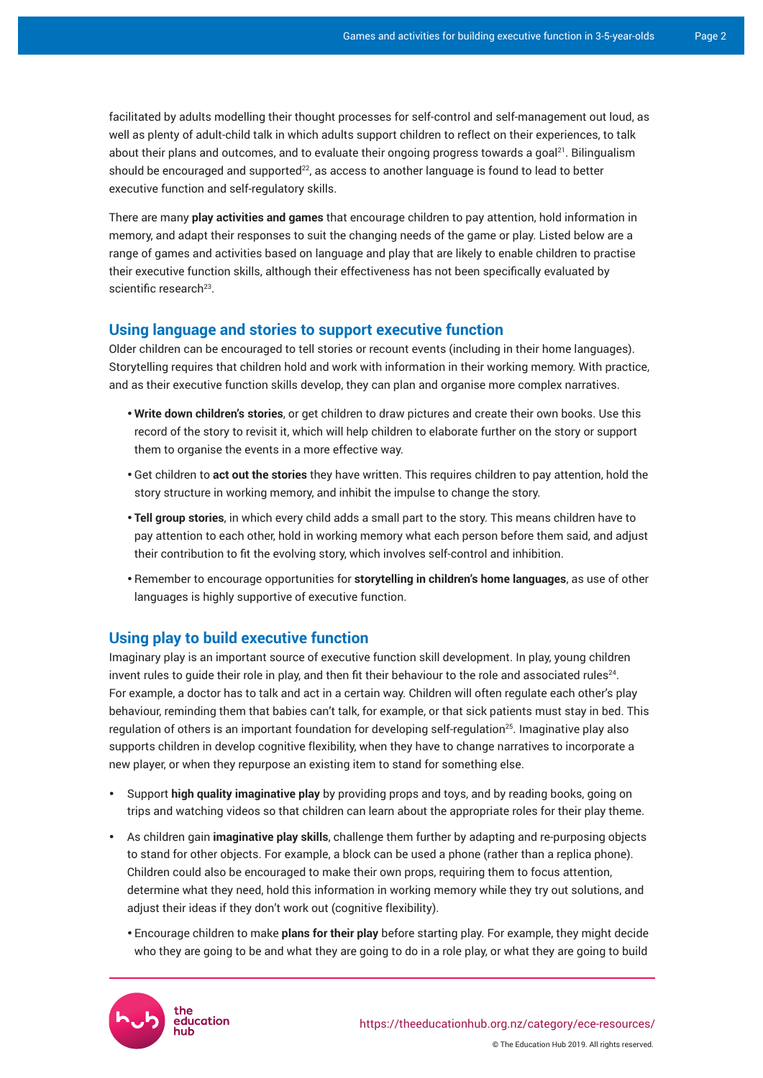facilitated by adults modelling their thought processes for self-control and self-management out loud, as well as plenty of adult-child talk in which adults support children to reflect on their experiences, to talk about their plans and outcomes, and to evaluate their ongoing progress towards a goal $21$ . Bilingualism should be encouraged and supported $22$ , as access to another language is found to lead to better executive function and self-regulatory skills.

There are many **play activities and games** that encourage children to pay attention, hold information in memory, and adapt their responses to suit the changing needs of the game or play. Listed below are a range of games and activities based on language and play that are likely to enable children to practise their executive function skills, although their effectiveness has not been specifically evaluated by scientific research<sup>23</sup>.

# **Using language and stories to support executive function**

Older children can be encouraged to tell stories or recount events (including in their home languages). Storytelling requires that children hold and work with information in their working memory. With practice, and as their executive function skills develop, they can plan and organise more complex narratives.

- • **Write down children's stories**, or get children to draw pictures and create their own books. Use this record of the story to revisit it, which will help children to elaborate further on the story or support them to organise the events in a more effective way.
- • Get children to **act out the stories** they have written. This requires children to pay attention, hold the story structure in working memory, and inhibit the impulse to change the story.
- • **Tell group stories**, in which every child adds a small part to the story. This means children have to pay attention to each other, hold in working memory what each person before them said, and adjust their contribution to fit the evolving story, which involves self-control and inhibition.
- • Remember to encourage opportunities for **storytelling in children's home languages**, as use of other languages is highly supportive of executive function.

# **Using play to build executive function**

Imaginary play is an important source of executive function skill development. In play, young children invent rules to guide their role in play, and then fit their behaviour to the role and associated rules $^{24}$ . For example, a doctor has to talk and act in a certain way. Children will often regulate each other's play behaviour, reminding them that babies can't talk, for example, or that sick patients must stay in bed. This regulation of others is an important foundation for developing self-regulation<sup>25</sup>. Imaginative play also supports children in develop cognitive flexibility, when they have to change narratives to incorporate a new player, or when they repurpose an existing item to stand for something else.

- • Support **high quality imaginative play** by providing props and toys, and by reading books, going on trips and watching videos so that children can learn about the appropriate roles for their play theme.
- • As children gain **imaginative play skills**, challenge them further by adapting and re-purposing objects to stand for other objects. For example, a block can be used a phone (rather than a replica phone). Children could also be encouraged to make their own props, requiring them to focus attention, determine what they need, hold this information in working memory while they try out solutions, and adjust their ideas if they don't work out (cognitive flexibility).
	- • Encourage children to make **plans for their play** before starting play. For example, they might decide who they are going to be and what they are going to do in a role play, or what they are going to build

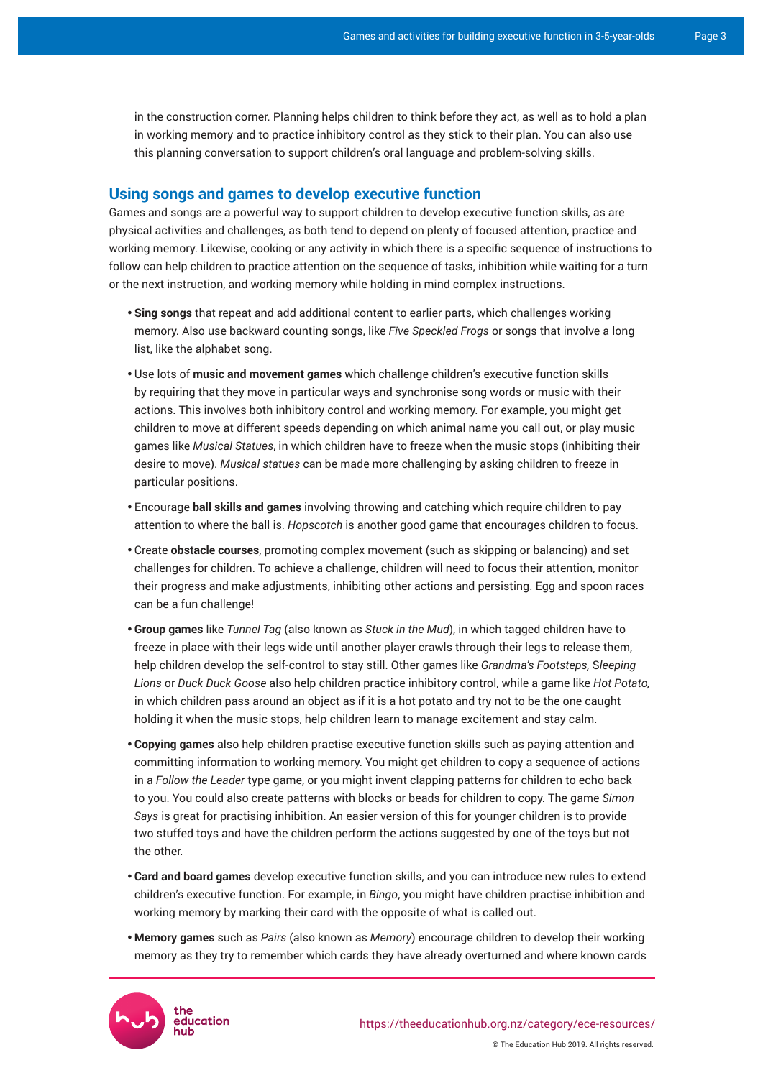in the construction corner. Planning helps children to think before they act, as well as to hold a plan in working memory and to practice inhibitory control as they stick to their plan. You can also use this planning conversation to support children's oral language and problem-solving skills.

### **Using songs and games to develop executive function**

Games and songs are a powerful way to support children to develop executive function skills, as are physical activities and challenges, as both tend to depend on plenty of focused attention, practice and working memory. Likewise, cooking or any activity in which there is a specific sequence of instructions to follow can help children to practice attention on the sequence of tasks, inhibition while waiting for a turn or the next instruction, and working memory while holding in mind complex instructions.

- • **Sing songs** that repeat and add additional content to earlier parts, which challenges working memory. Also use backward counting songs, like *Five Speckled Frogs* or songs that involve a long list, like the alphabet song.
- • Use lots of **music and movement games** which challenge children's executive function skills by requiring that they move in particular ways and synchronise song words or music with their actions. This involves both inhibitory control and working memory. For example, you might get children to move at different speeds depending on which animal name you call out, or play music games like *Musical Statues*, in which children have to freeze when the music stops (inhibiting their desire to move). *Musical statues* can be made more challenging by asking children to freeze in particular positions.
- • Encourage **ball skills and games** involving throwing and catching which require children to pay attention to where the ball is. *Hopscotch* is another good game that encourages children to focus.
- • Create **obstacle courses**, promoting complex movement (such as skipping or balancing) and set challenges for children. To achieve a challenge, children will need to focus their attention, monitor their progress and make adjustments, inhibiting other actions and persisting. Egg and spoon races can be a fun challenge!
- • **Group games** like *Tunnel Tag* (also known as *Stuck in the Mud*), in which tagged children have to freeze in place with their legs wide until another player crawls through their legs to release them, help children develop the self-control to stay still. Other games like *Grandma's Footsteps,* S*leeping Lions* or *Duck Duck Goose* also help children practice inhibitory control, while a game like *Hot Potato,* in which children pass around an object as if it is a hot potato and try not to be the one caught holding it when the music stops, help children learn to manage excitement and stay calm.
- • **Copying games** also help children practise executive function skills such as paying attention and committing information to working memory. You might get children to copy a sequence of actions in a *Follow the Leader* type game, or you might invent clapping patterns for children to echo back to you. You could also create patterns with blocks or beads for children to copy. The game *Simon Says* is great for practising inhibition. An easier version of this for younger children is to provide two stuffed toys and have the children perform the actions suggested by one of the toys but not the other.
- • **Card and board games** develop executive function skills, and you can introduce new rules to extend children's executive function. For example, in *Bingo*, you might have children practise inhibition and working memory by marking their card with the opposite of what is called out.
- • **Memory games** such as *Pairs* (also known as *Memory*) encourage children to develop their working memory as they try to remember which cards they have already overturned and where known cards

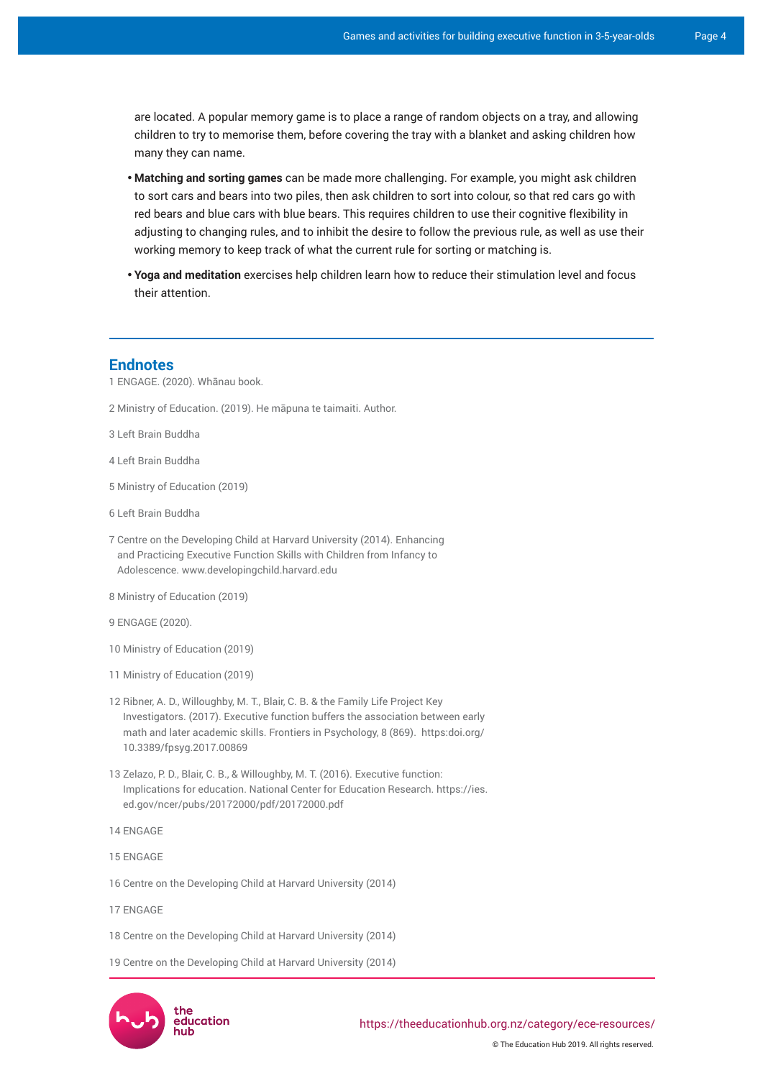are located. A popular memory game is to place a range of random objects on a tray, and allowing children to try to memorise them, before covering the tray with a blanket and asking children how many they can name.

- • **Matching and sorting games** can be made more challenging. For example, you might ask children to sort cars and bears into two piles, then ask children to sort into colour, so that red cars go with red bears and blue cars with blue bears. This requires children to use their cognitive flexibility in adjusting to changing rules, and to inhibit the desire to follow the previous rule, as well as use their working memory to keep track of what the current rule for sorting or matching is.
- • **Yoga and meditation** exercises help children learn how to reduce their stimulation level and focus their attention.

#### **Endnotes**

1 [ENGAGE.](http://www.engageplay.co.nz/landing-page) (2020). Whānau book.

2 Ministry of Education. (2019). He māpuna te taimaiti. Author.

3 [Left Brain Buddha](https://leftbrainbuddha.com/10-fun-activities-that-teach-executive-functioning-kids-teens/)

- 4 [Left Brain Buddha](https://leftbrainbuddha.com/10-fun-activities-that-teach-executive-functioning-kids-teens/)
- 5 Ministry of Education (2019)
- 6 [Left Brain Buddha](https://leftbrainbuddha.com/10-fun-activities-that-teach-executive-functioning-kids-teens/)
- 7 Centre on the Developing Child at Harvard University (2014). Enhancing and Practicing Executive Function Skills with Children from Infancy to Adolescence. [www.developingchild.harvard.edu](http://www.developingchild.harvard.edu/)
- 8 Ministry of Education (2019)
- 9 ENGAGE (2020).
- 10 Ministry of Education (2019)
- 11 Ministry of Education (2019)
- 12 Ribner, A. D., Willoughby, M. T., Blair, C. B. & the Family Life Project Key Investigators. (2017). Executive function buffers the association between early math and later academic skills. Frontiers in Psychology, 8 (869). https:doi.org/ 10.3389/fpsyg.2017.00869
- 13 Zelazo, P. D., Blair, C. B., & Willoughby, M. T. (2016). Executive function: Implications for education. National Center for Education Research. [https://ies.](https://ies.ed.gov/ncer/pubs/20172000/pdf/20172000.pdf) [ed.gov/ncer/pubs/20172000/pdf/20172000.pdf](https://ies.ed.gov/ncer/pubs/20172000/pdf/20172000.pdf)
- 14 ENGAGE
- 15 ENGAGE
- 16 Centre on the Developing Child at Harvard University (2014)
- 17 ENGAGE
- 18 Centre on the Developing Child at Harvard University (2014)
- 19 Centre on the Developing Child at Harvard University (2014)